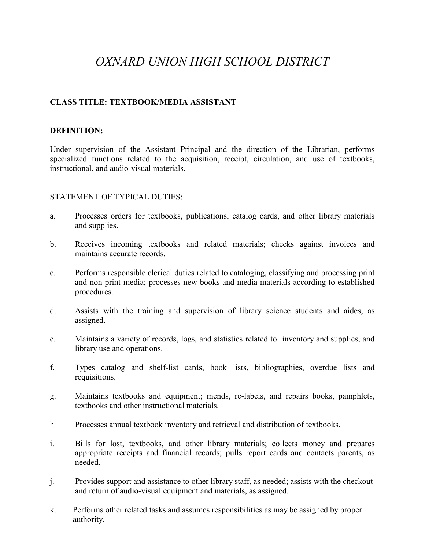# *OXNARD UNION HIGH SCHOOL DISTRICT*

#### **CLASS TITLE: TEXTBOOK/MEDIA ASSISTANT**

#### **DEFINITION:**

Under supervision of the Assistant Principal and the direction of the Librarian, performs specialized functions related to the acquisition, receipt, circulation, and use of textbooks, instructional, and audio-visual materials.

#### STATEMENT OF TYPICAL DUTIES:

- a. Processes orders for textbooks, publications, catalog cards, and other library materials and supplies.
- b. Receives incoming textbooks and related materials; checks against invoices and maintains accurate records.
- c. Performs responsible clerical duties related to cataloging, classifying and processing print and non-print media; processes new books and media materials according to established procedures.
- d. Assists with the training and supervision of library science students and aides, as assigned.
- e. Maintains a variety of records, logs, and statistics related to inventory and supplies, and library use and operations.
- f. Types catalog and shelf-list cards, book lists, bibliographies, overdue lists and requisitions.
- g. Maintains textbooks and equipment; mends, re-labels, and repairs books, pamphlets, textbooks and other instructional materials.
- h Processes annual textbook inventory and retrieval and distribution of textbooks.
- i. Bills for lost, textbooks, and other library materials; collects money and prepares appropriate receipts and financial records; pulls report cards and contacts parents, as needed.
- j. Provides support and assistance to other library staff, as needed; assists with the checkout and return of audio-visual equipment and materials, as assigned.
- k. Performs other related tasks and assumes responsibilities as may be assigned by proper authority.